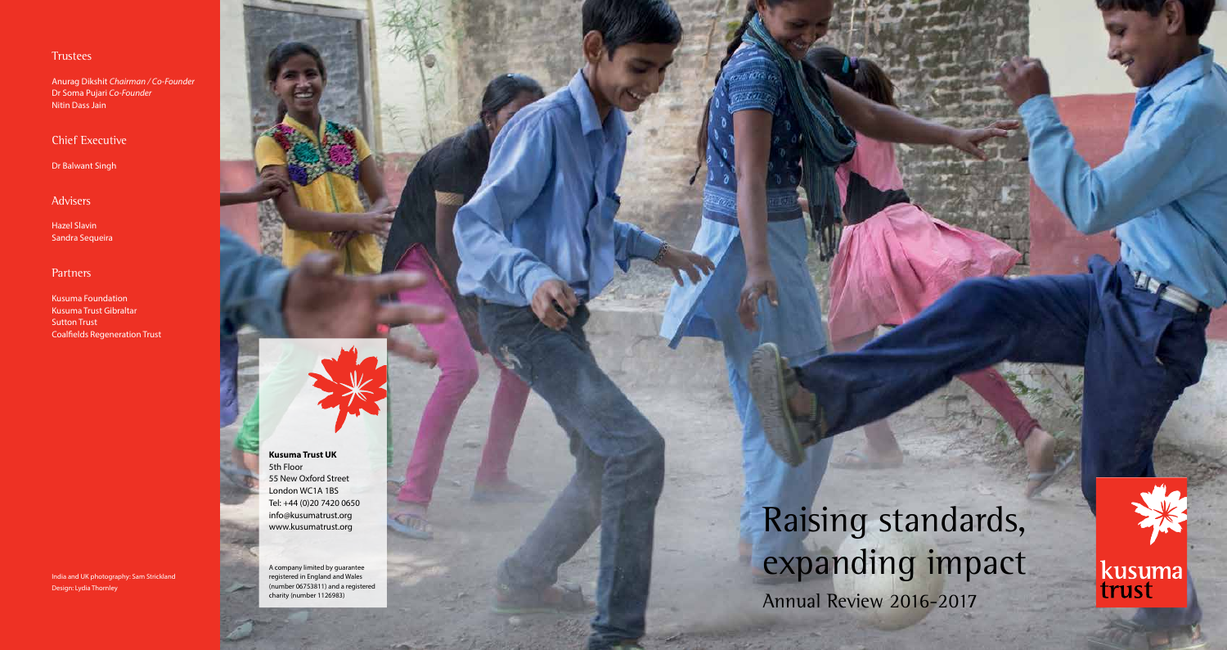**Kusuma Trust UK** 5th Floor 55 New Oxford Street London WC1A 1BS Tel: +44 (0)20 7420 0650 info@kusumatrust.org www.kusumatrust.org

A company limited by guarantee registered in England and Wales (number 06753811) and a registered charity (number 1126983)

Raising standards, expanding impact Annual Review 2016-2017

### **Trustees**

Anurag Dikshit *Chairman / Co-Founder*  Dr Soma Pujari *Co-Founder* Nitin Dass Jain

Chief Executive

Dr Balwant Singh

Advisers

Hazel Slavin Sandra Sequeira

### **Partners**

Kusuma Foundation Kusuma Trust Gibraltar Sutton Trust Coalfields Regeneration Trust

India and UK photography: Sam Strickland Design: Lydia Thornley



kusuma<br>trust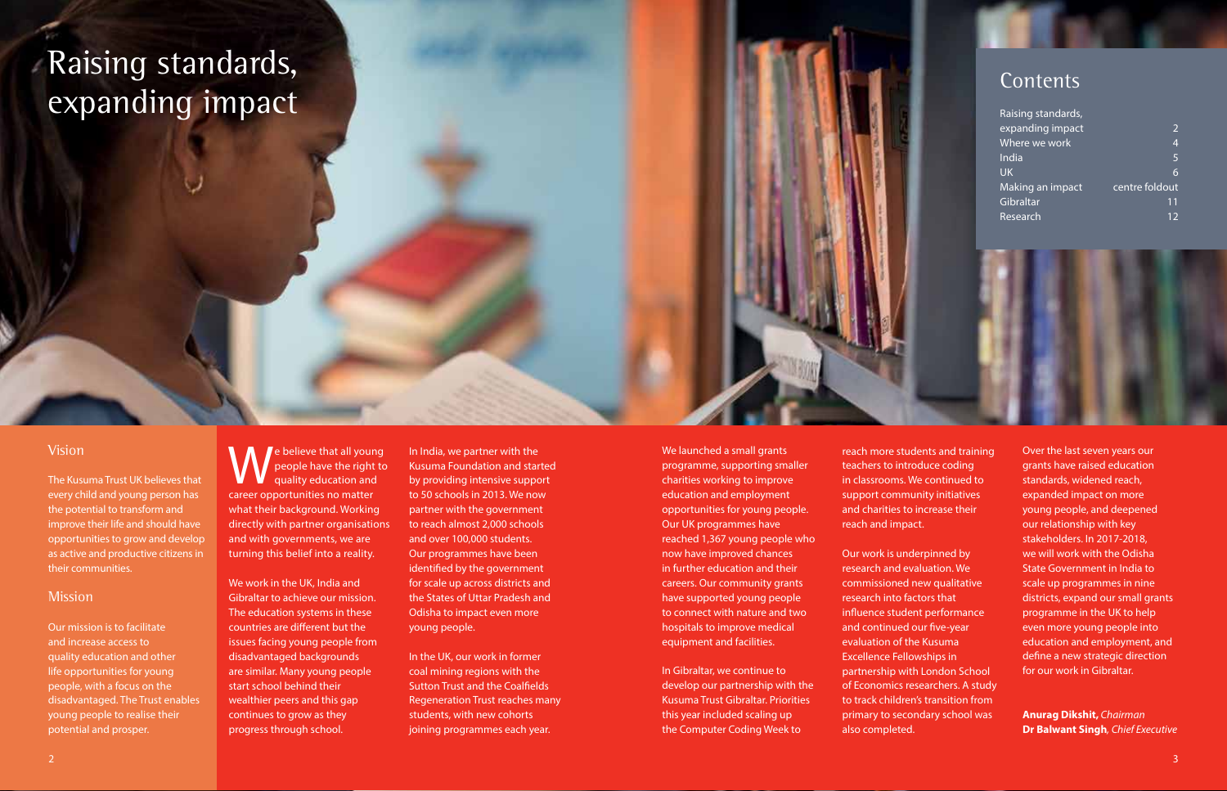# Raising standards, expanding impact

### Contents

| Raising standards, |                |
|--------------------|----------------|
| expanding impact   | $\overline{2}$ |
| Where we work      | $\overline{4}$ |
| India              | 5              |
| <b>UK</b>          | 6              |
| Making an impact   | centre foldout |
| Gibraltar          | 11             |
| Research           | 12             |

### Vision

The Kusuma Trust UK believes that every child and young person has the potential to transform and improve their life and should have opportunities to grow and develop as active and productive citizens in their communities.

#### **Mission**

Our mission is to facilitate and increase access to quality education and other life opportunities for young people, with a focus on the disadvantaged. The Trust enables young people to realise their potential and prosper.

**T** e believe that all young people have the right to quality education and career opportunities no matter what their background. Working directly with partner organisations and with governments, we are turning this belief into a reality.

We work in the UK, India and Gibraltar to achieve our mission. The education systems in these countries are different but the issues facing young people from disadvantaged backgrounds are similar. Many young people start school behind their wealthier peers and this gap continues to grow as they progress through school.

In India, we partner with the Kusuma Foundation and started by providing intensive support to 50 schools in 2013. We now partner with the government to reach almost 2,000 schools and over 100,000 students. Our programmes have been identified by the government for scale up across districts and the States of Uttar Pradesh and Odisha to impact even more young people.

In the UK, our work in former coal mining regions with the Sutton Trust and the Coalfields Regeneration Trust reaches many students, with new cohorts joining programmes each year.

We launched a small grants programme, supporting smaller charities working to improve education and employment opportunities for young people. Our UK programmes have reached 1,367 young people who now have improved chances in further education and their careers. Our community grants have supported young people to connect with nature and two hospitals to improve medical equipment and facilities.

In Gibraltar, we continue to develop our partnership with the Kusuma Trust Gibraltar. Priorities this year included scaling up the Computer Coding Week to

reach more students and training teachers to introduce coding in classrooms. We continued to support community initiatives and charities to increase their reach and impact.

Our work is underpinned by research and evaluation. We commissioned new qualitative research into factors that influence student performance and continued our five-year evaluation of the Kusuma Excellence Fellowships in partnership with London School of Economics researchers. A study to track children's transition from primary to secondary school was also completed.

Over the last seven years our grants have raised education standards, widened reach, expanded impact on more young people, and deepened our relationship with key stakeholders. In 2017-2018, we will work with the Odisha State Government in India to scale up programmes in nine districts, expand our small grants programme in the UK to help even more young people into education and employment, and define a new strategic direction for our work in Gibraltar.

**Anurag Dikshit,** *Chairman* **Dr Balwant Singh***, Chief Executive*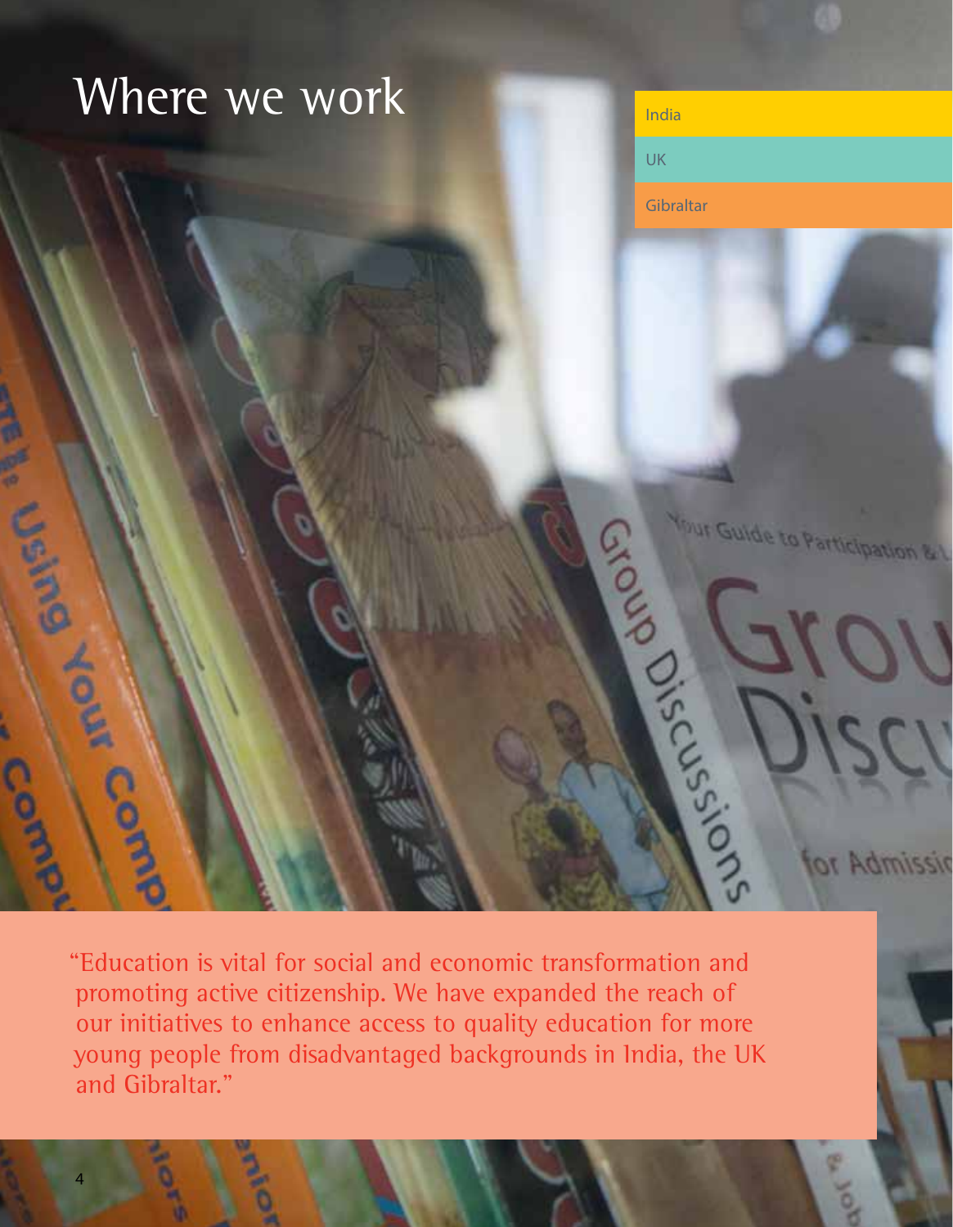# Where we work

UK **Gibraltar** F. Januar Leong Sions Change Your Guide to Participation & L **Ior Admissir** 

"Education is vital for social and economic transformation and promoting active citizenship. We have expanded the reach of our initiatives to enhance access to quality education for more young people from disadvantaged backgrounds in India, the UK and Gibraltar."

Bold.

4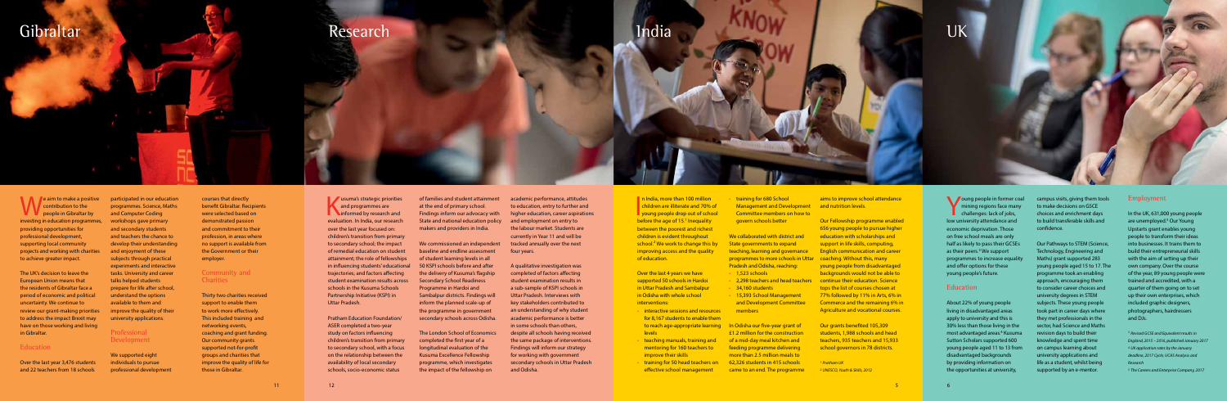### Gibraltar

 $\blacksquare$  e aim to make a positive contribution to the people in Gibraltar by investing in education programmes, providing opportunities for professional development, supporting local community projects and working with charities to achieve greater impact.

The UK's decision to leave the European Union means that the residents of Gibraltar face a period of economic and political uncertainty. We continue to review our grant-making priorities to address the impact Brexit may have on those working and living in Gibraltar.

#### Education

Over the last year 3,476 students and 22 teachers from 18 schools

**Y** oung people in former coal mining regions face many challenges: lack of jobs, low university attendance and economic deprivation. Those on free school meals are only half as likely to pass their GCSEs as their peers.<sup>3</sup> We support programmes to increase equality and offer options for these young people's future.

#### **Education**

participated in our education programmes. Science, Maths and Computer Coding workshops gave primary and secondary students and teachers the chance to develop their understanding and enjoyment of these subjects through practical experiments and interactive tasks. University and career talks helped students prepare for life after school, understand the options available to them and improve the quality of their university applications.

#### Professional Development

We supported eight individuals to pursue professional development

n India, more than 100 million<br>
children are illiterate and 70% of<br>
young people drop out of school<br>
before the 200 of 15 l linequality n India, more than 100 million children are illiterate and 70% of before the age of 15.<sup>1</sup> Inequality between the poorest and richest children is evident throughout school.<sup>2</sup> We work to change this by improving access and the quality of education.

> About 22% of young people living in disadvantaged areas apply to university and this is 30% less than those living in the most advantaged areas.4 Kusuma Sutton Scholars supported 600 young people aged 11 to 13 from disadvantaged backgrounds by providing information on the opportunities at university,



campus visits, giving them tools to make decisions on GSCE choices and enrichment days to build transferable skills and confidence.

• 2,298 teachers and head teachers continue their education. Science Our Fellowship programme enabled 656 young people to pursue higher education with scholarships and support in life skills, computing, English communication and career young people from disadvantaged backgrounds would not be able to tops the list of courses chosen at 77% followed by 11% in Arts, 6% in Commerce and the remaining 6% in Agriculture and vocational courses.

Our Pathways to STEM (Science, Technology, Engineering and Maths) grant supported 283 young people aged 15 to 17. The programme took an enabling approach, encouraging them to consider career choices and university degrees in STEM subjects. These young people took part in career days where they met professionals in the sector, had Science and Maths revision days to build their knowledge and spent time on campus learning about university applications and life as a student, whilst being supported by an e-mentor.

 $\blacksquare$  usuma's strategic priorities and programmes are **informed by research and** evaluation. In India, our research over the last year focused on: children's transition from primary to secondary school; the impact of remedial education on student attainment; the role of fellowships in influencing students' educational trajectories; and factors affecting student examination results across schools in the Kusuma Schools Partnership Initiative (KSPI) in Uttar Pradesh.

Over the last 4 years we have supported 50 schools in Hardoi in Uttar Pradesh and Sambalpur in Odisha with whole school interventions:

- interactive sessions and resources for 8,167 students to enable them to reach age-appropriate learning In Odisha our five-year grant of levels
- teaching manuals, training and mentoring for 160 teachers to improve their skills
- training for 50 head teachers on effective school management

• training for 680 School Management and Development and nutrition levels. Committee members on how to govern schools better

We collaborated with district and State governments to expand teaching, learning and governance programmes to more schools in Uttar coaching. Without this, many Pradesh and Odisha, reaching:  $\cdot$  1.523 schools

- 
- 34,160 students
- 15,393 School Management and Development Committee members

£1.2 million for the construction of a mid-day meal kitchen and feeding programme delivering more than 2.5 million meals to 62,326 students in 415 schools came to an end. The programme

#### Community and **Charities**

aims to improve school attendance

Our grants benefited 105,309 students, 1,988 schools and head teachers, 935 teachers and 15,933 school governors in 78 districts.

*<sup>1</sup> Pratham UK <sup>2</sup> UNESCO, Youth & Skills, 2012*

Research

Pratham Education Foundation/ ASER completed a two-year study on factors influencing children's transition from primary to secondary school, with a focus on the relationship between the availability of local secondary schools, socio-economic status

of families and student attainment at the end of primary school. Findings inform our advocacy with State and national education policy makers and providers in India.

We commissioned an independent baseline and endline assessment of student learning levels in all 50 KSPI schools before and after the delivery of Kusuma's flagship Secondary School Readiness Programme in Hardoi and Sambalpur districts. Findings will inform the planned scale-up of the programme in government secondary schools across Odisha.

The London School of Economics completed the first year of a longitudinal evaluation of the Kusuma Excellence Fellowship programme, which investigates the impact of the fellowship on

academic performance, attitudes to education, entry to further and higher education, career aspirations and employment on entry to the labour market. Students are currently in Year 11 and will be tracked annually over the next four years. A qualitative investigation was completed of factors affecting student examination results in a sub-sample of KSPI schools in

Uttar Pradesh. Interviews with key stakeholders contributed to an understanding of why student academic performance is better in some schools than others, despite all schools having received the same package of interventions. Findings will inform our strategy for working with government secondary schools in Uttar Pradesh and Odisha.

### Employment

In the UK, 631,000 young people are unemployed.<sup>5</sup> Our Young Upstarts grant enables young people to transform their ideas into businesses. It trains them to build their entrepreneurial skills with the aim of setting up their own company. Over the course of the year, 89 young people were trained and accredited, with a quarter of them going on to set up their own enterprises, which included graphic designers, photographers, hairdressers and DJs.

*<sup>3</sup> Revised GCSE and Equivalent results in England, 2015 – 2016, published January 2017 <sup>4</sup> UK application rates by the January deadline, 2017 Cycle, UCAS Analysis and Research*

*<sup>5</sup> The Careers and Enterprise Company, 2017* 

courses that directly benefit Gibraltar. Recipients were selected based on demonstrated passion and commitment to their profession, in areas where no support is available from the Government or their employer.

Thirty two charities received support to enable them to work more effectively. This included training and networking events, coaching and grant funding. Our community grants supported not-for-profit groups and charities that improve the quality of life for those in Gibraltar.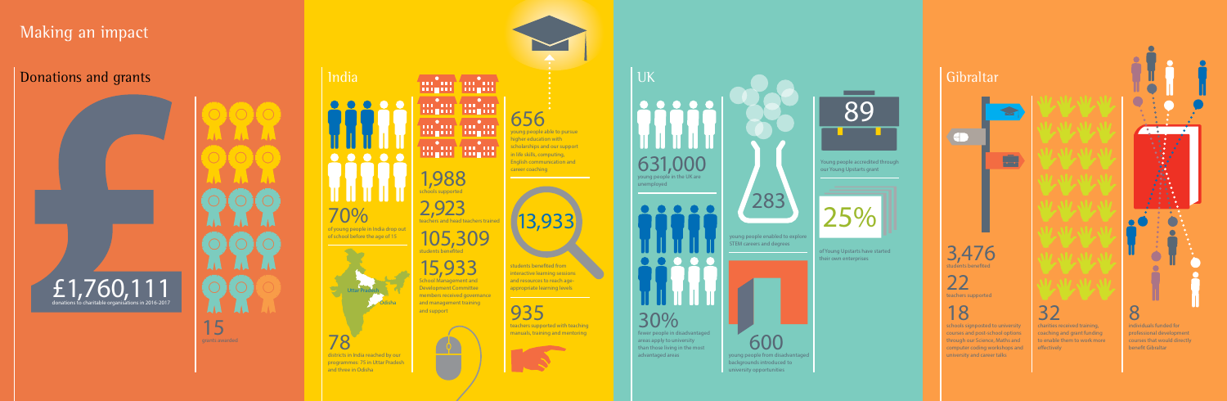# Making an impact

### Donations and grants

districts in India reached by our programmes: 75 in Uttar Pradesh and three in Odisha

mind mind **THEFT PRESS** min mini **THEFT DIET THE THE THEFT** 

L N 15 grants awarded

### Gibraltar

# India UK 70% of young people in India drop out of school before the age of 15 1,988 schools supported 2,923  $\mathsf{teach}$ ers and head teachers t 105,309

students benefited from interactive learning sessions and resources to reach ageappropriate learning levels

935 teachers supported with teaching manuals, training and mentoring





students benefited



15,933 School Management and Development Committee members received governance and management training and support

656 young people able to pursue

**Samuel Street** 

### higher education with scholarships and our support in life skills, computing, English communication and career coaching



advantaged areas



Young people accredited through our Young Upstarts grant

 600 young people from disadvantaged backgrounds introduced to university opportunities

32 charities received training,

coaching and grant funding to enable them to work more



**CONTROL** 

courses that would directly benefit Gibraltar



effectively courses and post-school options through our Science, Maths and computer coding workshops and university and career talks

13,933

# £1,760,111 donations to charitable organisations in 2016-2017

young people enabled to explore STEM careers and degrees





of Young Upstarts have started their own enterprises





# $70$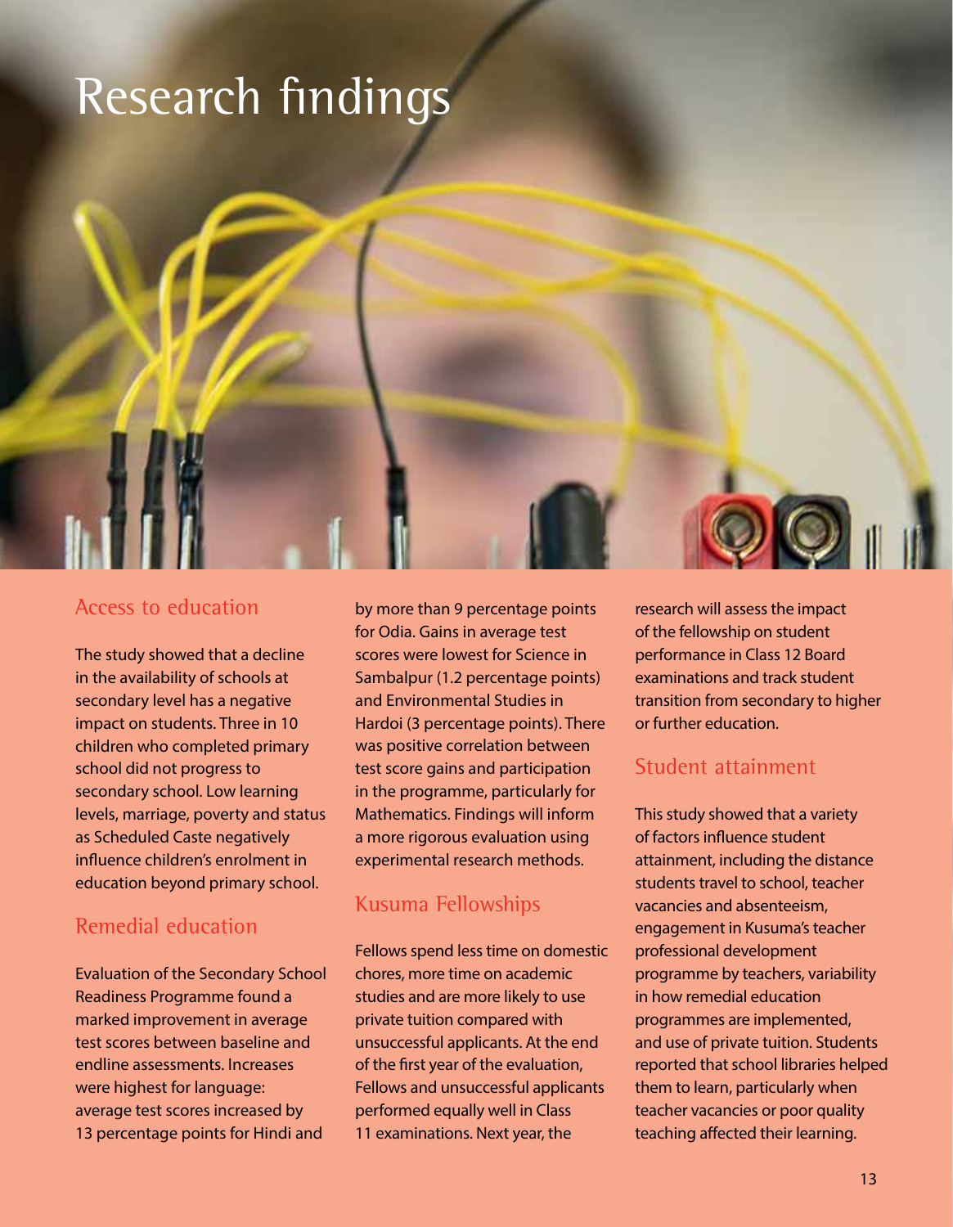### Research findings



The study showed that a decline in the availability of schools at secondary level has a negative impact on students. Three in 10 children who completed primary school did not progress to secondary school. Low learning levels, marriage, poverty and status as Scheduled Caste negatively influence children's enrolment in education beyond primary school.

### Remedial education

Evaluation of the Secondary School Readiness Programme found a marked improvement in average test scores between baseline and endline assessments. Increases were highest for language: average test scores increased by 13 percentage points for Hindi and

by more than 9 percentage points for Odia. Gains in average test scores were lowest for Science in Sambalpur (1.2 percentage points) and Environmental Studies in Hardoi (3 percentage points). There was positive correlation between test score gains and participation in the programme, particularly for Mathematics. Findings will inform a more rigorous evaluation using experimental research methods.

### Kusuma Fellowships

Fellows spend less time on domestic chores, more time on academic studies and are more likely to use private tuition compared with unsuccessful applicants. At the end of the first year of the evaluation, Fellows and unsuccessful applicants performed equally well in Class 11 examinations. Next year, the

research will assess the impact of the fellowship on student performance in Class 12 Board examinations and track student transition from secondary to higher or further education.

### Student attainment

This study showed that a variety of factors influence student attainment, including the distance students travel to school, teacher vacancies and absenteeism, engagement in Kusuma's teacher professional development programme by teachers, variability in how remedial education programmes are implemented, and use of private tuition. Students reported that school libraries helped them to learn, particularly when teacher vacancies or poor quality teaching affected their learning.